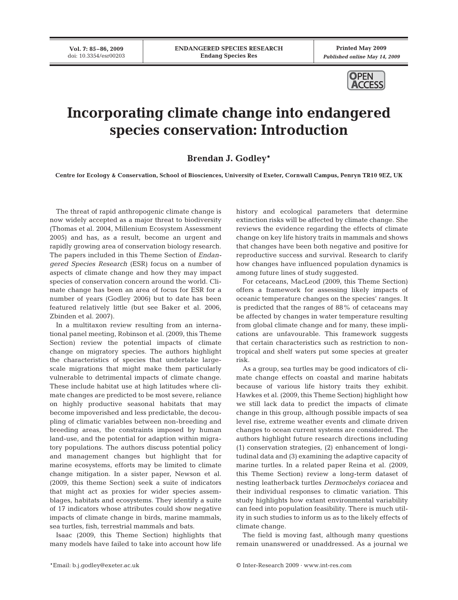**Vol. 7: 85–86, 2009** doi: 10.3354/esr00203

**Printed May 2009** *Published online May 14, 2009*



## **Incorporating climate change into endangered species conservation: Introduction**

## **Brendan J. Godley\***

**Centre for Ecology & Conservation, School of Biosciences, University of Exeter, Cornwall Campus, Penryn TR10 9EZ, UK**

The threat of rapid anthropogenic climate change is now widely accepted as a major threat to biodiversity (Thomas et al. 2004, Millenium Ecosystem Assessment 2005) and has, as a result, become an urgent and rapidly growing area of conservation biology research. The papers included in this Theme Section of *Endangered Species Research* (ESR) focus on a number of aspects of climate change and how they may impact species of conservation concern around the world. Climate change has been an area of focus for ESR for a number of years (Godley 2006) but to date has been featured relatively little (but see Baker et al. 2006, Zbinden et al. 2007).

In a multitaxon review resulting from an international panel meeting, Robinson et al. (2009, this Theme Section) review the potential impacts of climate change on migratory species. The authors highlight the characteristics of species that undertake largescale migrations that might make them particularly vulnerable to detrimental impacts of climate change. These include habitat use at high latitudes where climate changes are predicted to be most severe, reliance on highly productive seasonal habitats that may become impoverished and less predictable, the decoupling of climatic variables between non-breeding and breeding areas, the constraints imposed by human land-use, and the potential for adaption within migratory populations. The authors discuss potential policy and management changes but highlight that for marine ecosystems, efforts may be limited to climate change mitigation. In a sister paper, Newson et al. (2009, this theme Section) seek a suite of indicators that might act as proxies for wider species assemblages, habitats and ecosystems. They identify a suite of 17 indicators whose attributes could show negative impacts of climate change in birds, marine mammals, sea turtles, fish, terrestrial mammals and bats.

Isaac (2009, this Theme Section) highlights that many models have failed to take into account how life

history and ecological parameters that determine extinction risks will be affected by climate change. She reviews the evidence regarding the effects of climate change on key life history traits in mammals and shows that changes have been both negative and positive for reproductive success and survival. Research to clarify how changes have influenced population dynamics is among future lines of study suggested.

For cetaceans, MacLeod (2009, this Theme Section) offers a framework for assessing likely impacts of oceanic temperature changes on the species' ranges. It is predicted that the ranges of 88% of cetaceans may be affected by changes in water temperature resulting from global climate change and for many, these implications are unfavourable. This framework suggests that certain characteristics such as restriction to nontropical and shelf waters put some species at greater risk.

As a group, sea turtles may be good indicators of climate change effects on coastal and marine habitats because of various life history traits they exhibit. Hawkes et al. (2009, this Theme Section) highlight how we still lack data to predict the impacts of climate change in this group, although possible impacts of sea level rise, extreme weather events and climate driven changes to ocean current systems are considered. The authors highlight future research directions including (1) conservation strategies, (2) enhancement of longitudinal data and (3) examining the adaptive capacity of marine turtles. In a related paper Reina et al. (2009, this Theme Section) review a long-term dataset of nesting leatherback turtles *Dermochelys coriacea* and their individual responses to climatic variation. This study highlights how extant environmental variability can feed into population feasibility. There is much utility in such studies to inform us as to the likely effects of climate change.

The field is moving fast, although many questions remain unanswered or unaddressed. As a journal we